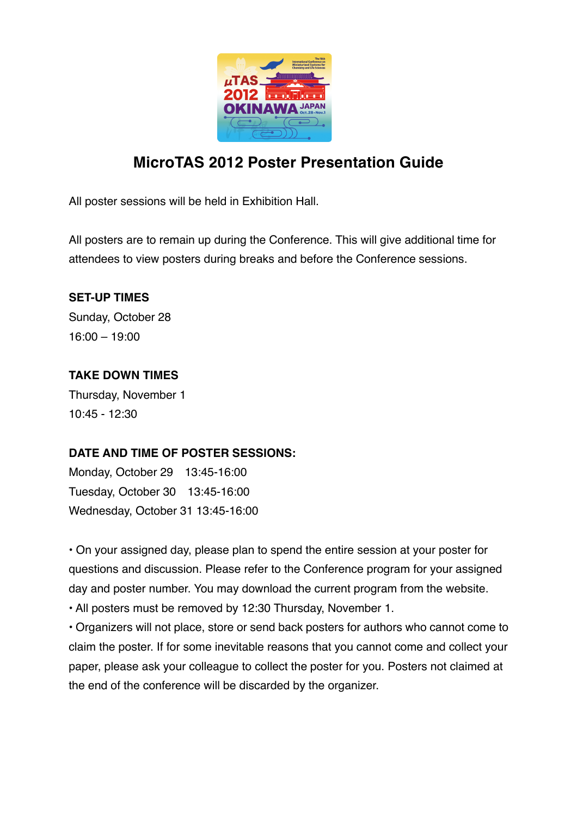

# **MicroTAS 2012 Poster Presentation Guide**

All poster sessions will be held in Exhibition Hall.

All posters are to remain up during the Conference. This will give additional time for attendees to view posters during breaks and before the Conference sessions.

### **SET-UP TIMES**

Sunday, October 28 16:00 – 19:00

### **TAKE DOWN TIMES**

Thursday, November 1 10:45 - 12:30

## **DATE AND TIME OF POSTER SESSIONS:**

Monday, October 29 13:45-16:00 Tuesday, October 30 13:45-16:00 Wednesday, October 31 13:45-16:00

• On your assigned day, please plan to spend the entire session at your poster for questions and discussion. Please refer to the Conference program for your assigned day and poster number. You may download the current program from the website.

• All posters must be removed by 12:30 Thursday, November 1.

• Organizers will not place, store or send back posters for authors who cannot come to claim the poster. If for some inevitable reasons that you cannot come and collect your paper, please ask your colleague to collect the poster for you. Posters not claimed at the end of the conference will be discarded by the organizer.